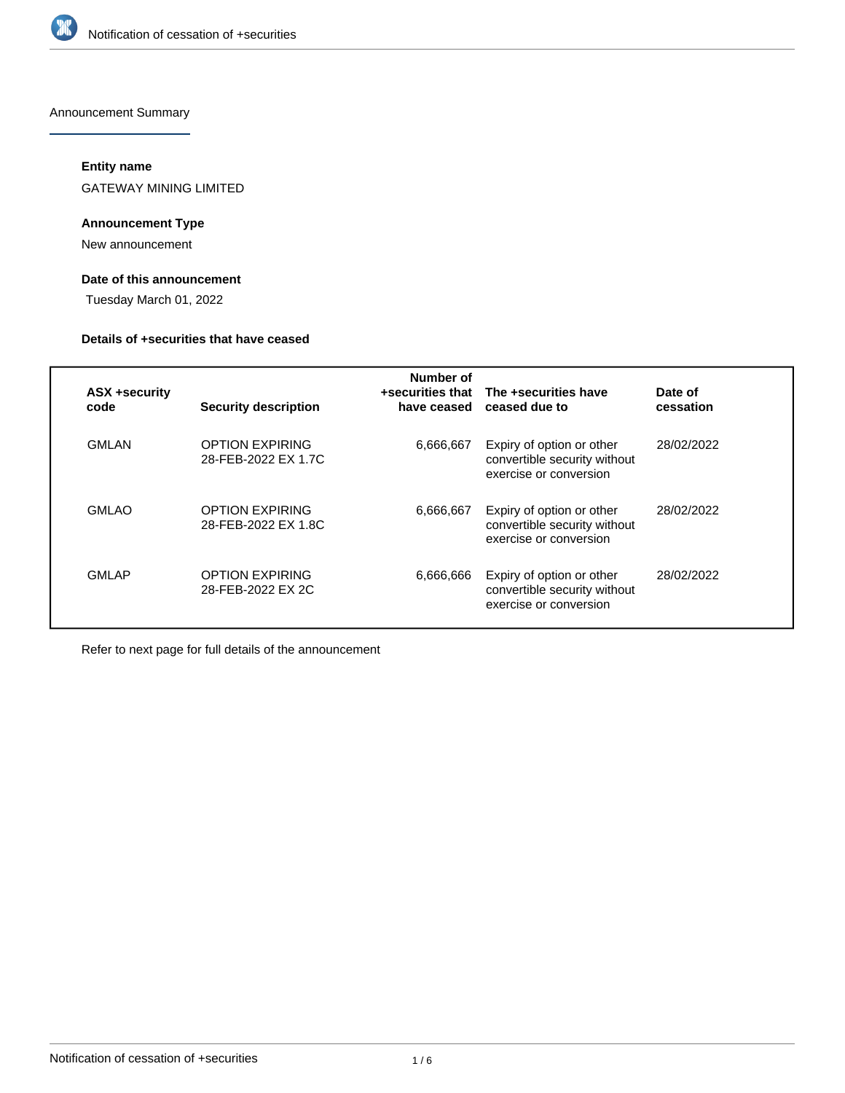

Announcement Summary

## **Entity name**

GATEWAY MINING LIMITED

## **Announcement Type**

New announcement

# **Date of this announcement**

Tuesday March 01, 2022

## **Details of +securities that have ceased**

| ASX +security<br>code | <b>Security description</b>                   | Number of<br>have ceased | +securities that The +securities have<br>ceased due to                              | Date of<br>cessation |
|-----------------------|-----------------------------------------------|--------------------------|-------------------------------------------------------------------------------------|----------------------|
| <b>GMLAN</b>          | <b>OPTION EXPIRING</b><br>28-FEB-2022 EX 1.7C | 6,666,667                | Expiry of option or other<br>convertible security without<br>exercise or conversion | 28/02/2022           |
| <b>GMLAO</b>          | <b>OPTION EXPIRING</b><br>28-FEB-2022 EX 1.8C | 6,666,667                | Expiry of option or other<br>convertible security without<br>exercise or conversion | 28/02/2022           |
| <b>GMLAP</b>          | <b>OPTION EXPIRING</b><br>28-FEB-2022 EX 2C   | 6,666,666                | Expiry of option or other<br>convertible security without<br>exercise or conversion | 28/02/2022           |

Refer to next page for full details of the announcement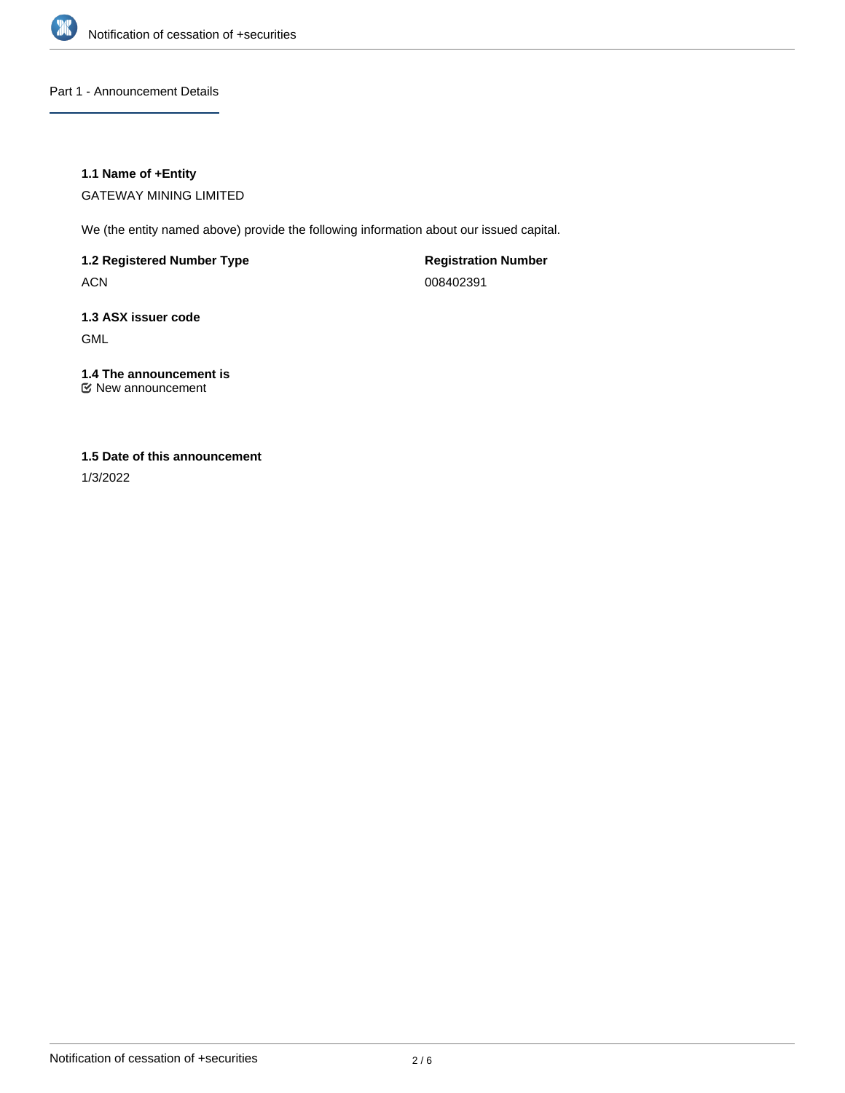

Part 1 - Announcement Details

## **1.1 Name of +Entity**

GATEWAY MINING LIMITED

We (the entity named above) provide the following information about our issued capital.

**1.2 Registered Number Type**

ACN

**Registration Number** 008402391

# **1.3 ASX issuer code** GML

# **1.4 The announcement is**

New announcement

## **1.5 Date of this announcement**

1/3/2022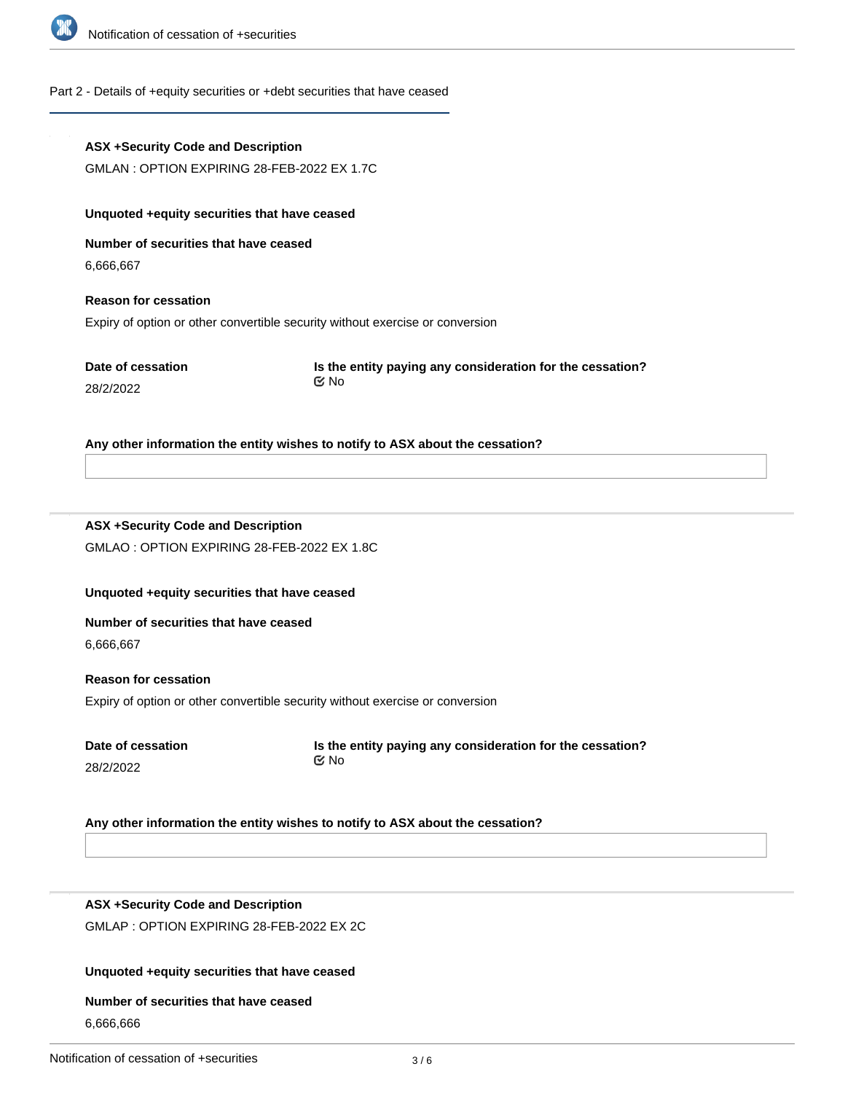

# Part 2 - Details of +equity securities or +debt securities that have ceased

|                                           | <b>ASX +Security Code and Description</b>                                     |                                                                               |  |  |  |  |  |
|-------------------------------------------|-------------------------------------------------------------------------------|-------------------------------------------------------------------------------|--|--|--|--|--|
|                                           | GMLAN: OPTION EXPIRING 28-FEB-2022 EX 1.7C                                    |                                                                               |  |  |  |  |  |
|                                           | Unquoted +equity securities that have ceased                                  |                                                                               |  |  |  |  |  |
|                                           | Number of securities that have ceased                                         |                                                                               |  |  |  |  |  |
|                                           | 6,666,667                                                                     |                                                                               |  |  |  |  |  |
|                                           | <b>Reason for cessation</b>                                                   |                                                                               |  |  |  |  |  |
|                                           |                                                                               | Expiry of option or other convertible security without exercise or conversion |  |  |  |  |  |
|                                           | Date of cessation                                                             | Is the entity paying any consideration for the cessation?                     |  |  |  |  |  |
|                                           | 28/2/2022                                                                     | <b>প্র</b> No                                                                 |  |  |  |  |  |
|                                           |                                                                               |                                                                               |  |  |  |  |  |
|                                           |                                                                               | Any other information the entity wishes to notify to ASX about the cessation? |  |  |  |  |  |
|                                           |                                                                               |                                                                               |  |  |  |  |  |
|                                           |                                                                               |                                                                               |  |  |  |  |  |
|                                           | <b>ASX +Security Code and Description</b>                                     |                                                                               |  |  |  |  |  |
|                                           | GMLAO: OPTION EXPIRING 28-FEB-2022 EX 1.8C                                    |                                                                               |  |  |  |  |  |
|                                           |                                                                               |                                                                               |  |  |  |  |  |
|                                           | Unquoted +equity securities that have ceased                                  |                                                                               |  |  |  |  |  |
|                                           | Number of securities that have ceased                                         |                                                                               |  |  |  |  |  |
|                                           | 6,666,667                                                                     |                                                                               |  |  |  |  |  |
|                                           | <b>Reason for cessation</b>                                                   |                                                                               |  |  |  |  |  |
|                                           | Expiry of option or other convertible security without exercise or conversion |                                                                               |  |  |  |  |  |
|                                           | Date of cessation                                                             | Is the entity paying any consideration for the cessation?                     |  |  |  |  |  |
|                                           | 28/2/2022                                                                     | $\mathfrak{C}$ No                                                             |  |  |  |  |  |
|                                           |                                                                               |                                                                               |  |  |  |  |  |
|                                           |                                                                               | Any other information the entity wishes to notify to ASX about the cessation? |  |  |  |  |  |
|                                           |                                                                               |                                                                               |  |  |  |  |  |
|                                           |                                                                               |                                                                               |  |  |  |  |  |
|                                           | <b>ASX +Security Code and Description</b>                                     |                                                                               |  |  |  |  |  |
| GMLAP : OPTION EXPIRING 28-FEB-2022 EX 2C |                                                                               |                                                                               |  |  |  |  |  |
|                                           |                                                                               |                                                                               |  |  |  |  |  |

# **Unquoted +equity securities that have ceased**

# **Number of securities that have ceased**

6,666,666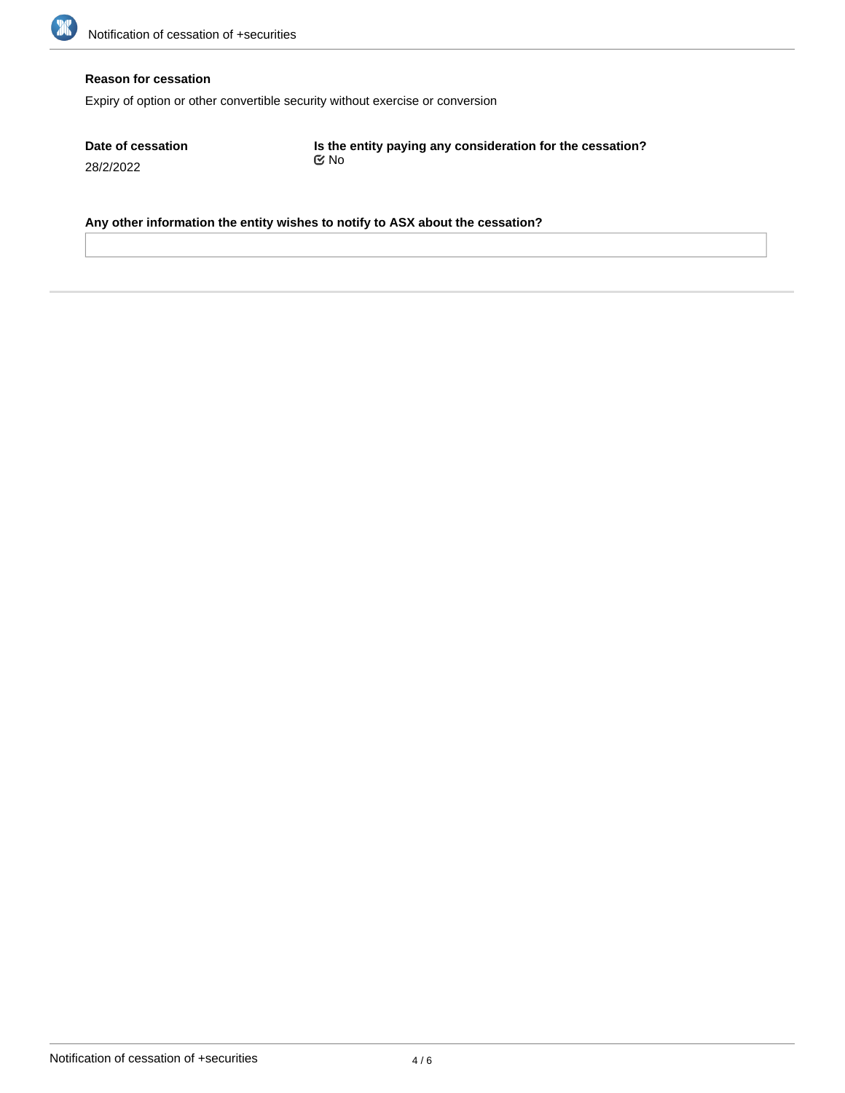

### **Reason for cessation**

Expiry of option or other convertible security without exercise or conversion

**Date of cessation** 28/2/2022

**Is the entity paying any consideration for the cessation?** No

**Any other information the entity wishes to notify to ASX about the cessation?**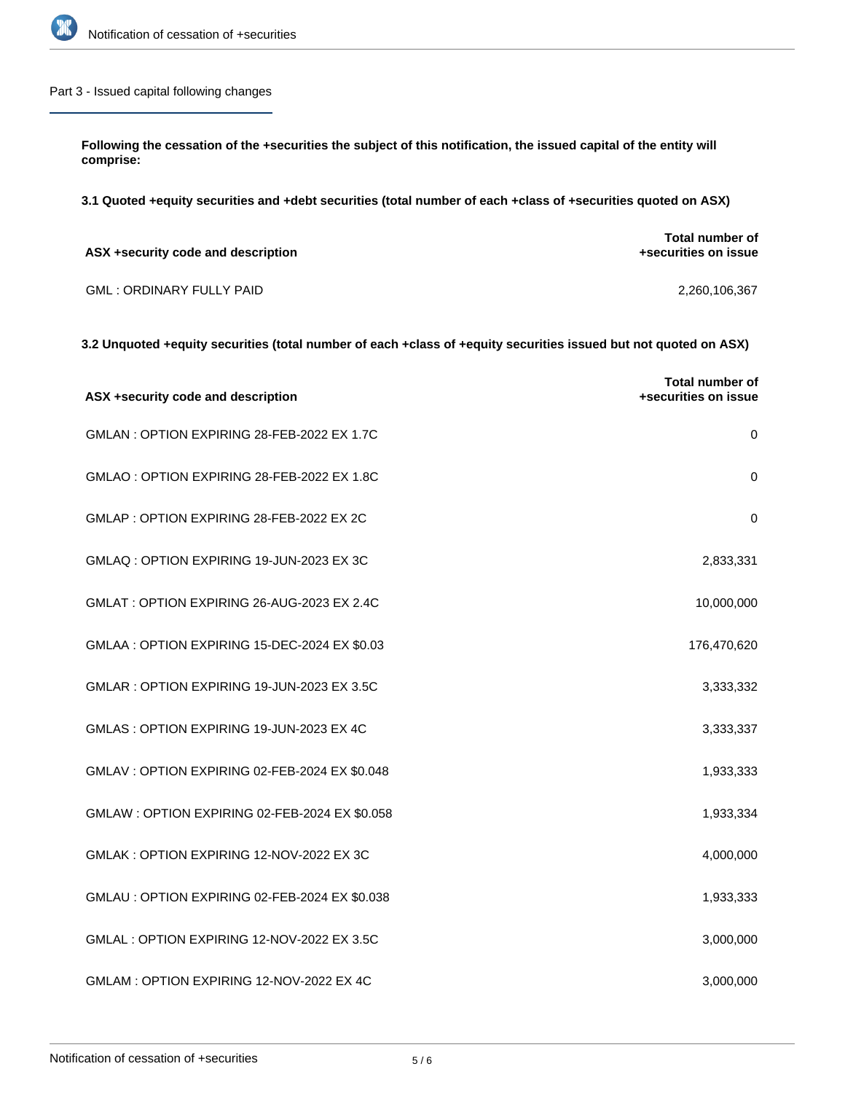

## Part 3 - Issued capital following changes

**Following the cessation of the +securities the subject of this notification, the issued capital of the entity will comprise:**

**3.1 Quoted +equity securities and +debt securities (total number of each +class of +securities quoted on ASX)**

| ASX +security code and description | Total number of<br>+securities on issue |
|------------------------------------|-----------------------------------------|
| <b>GML: ORDINARY FULLY PAID</b>    | 2.260.106.367                           |

## **3.2 Unquoted +equity securities (total number of each +class of +equity securities issued but not quoted on ASX)**

| ASX +security code and description             | <b>Total number of</b><br>+securities on issue |
|------------------------------------------------|------------------------------------------------|
| GMLAN: OPTION EXPIRING 28-FEB-2022 EX 1.7C     | $\pmb{0}$                                      |
| GMLAO: OPTION EXPIRING 28-FEB-2022 EX 1.8C     | $\mathbf 0$                                    |
| GMLAP: OPTION EXPIRING 28-FEB-2022 EX 2C       | 0                                              |
| GMLAQ: OPTION EXPIRING 19-JUN-2023 EX 3C       | 2,833,331                                      |
| GMLAT: OPTION EXPIRING 26-AUG-2023 EX 2.4C     | 10,000,000                                     |
| GMLAA : OPTION EXPIRING 15-DEC-2024 EX \$0.03  | 176,470,620                                    |
| GMLAR: OPTION EXPIRING 19-JUN-2023 EX 3.5C     | 3,333,332                                      |
| GMLAS: OPTION EXPIRING 19-JUN-2023 EX 4C       | 3,333,337                                      |
| GMLAV : OPTION EXPIRING 02-FEB-2024 EX \$0.048 | 1,933,333                                      |
| GMLAW : OPTION EXPIRING 02-FEB-2024 EX \$0.058 | 1,933,334                                      |
| GMLAK: OPTION EXPIRING 12-NOV-2022 EX 3C       | 4,000,000                                      |
| GMLAU : OPTION EXPIRING 02-FEB-2024 EX \$0.038 | 1,933,333                                      |
| GMLAL : OPTION EXPIRING 12-NOV-2022 EX 3.5C    | 3,000,000                                      |
| GMLAM: OPTION EXPIRING 12-NOV-2022 EX 4C       | 3,000,000                                      |